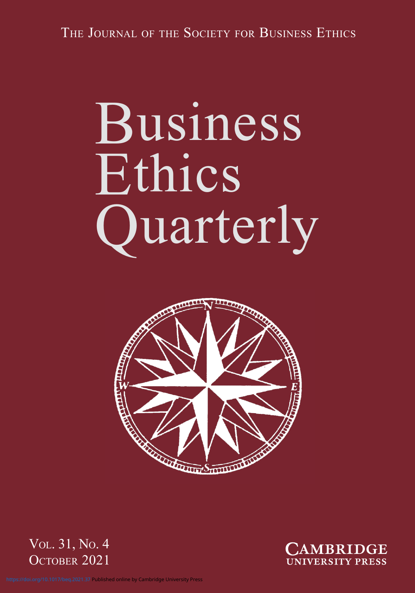# Business Ethics Quarterly







<https://doi.org/10.1017/beq.2021.37>Published online by Cambridge University Press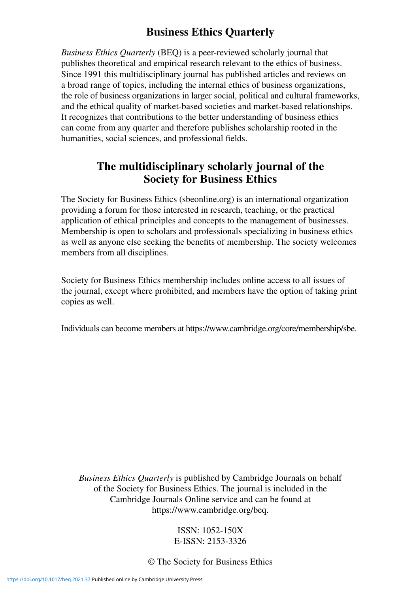# **Business Ethics Quarterly**

*Business Ethics Quarterly* (BEQ) is a peer-reviewed scholarly journal that publishes theoretical and empirical research relevant to the ethics of business. Since 1991 this multidisciplinary journal has published articles and reviews on a broad range of topics, including the internal ethics of business organizations, the role of business organizations in larger social, political and cultural frameworks, and the ethical quality of market-based societies and market-based relationships. It recognizes that contributions to the better understanding of business ethics can come from any quarter and therefore publishes scholarship rooted in the humanities, social sciences, and professional fields.

## **The multidisciplinary scholarly journal of the Society for Business Ethics**

The Society for Business Ethics (sbeonline.org) is an international organization providing a forum for those interested in research, teaching, or the practical application of ethical principles and concepts to the management of businesses. Membership is open to scholars and professionals specializing in business ethics as well as anyone else seeking the benefits of membership. The society welcomes members from all disciplines.

Society for Business Ethics membership includes online access to all issues of the journal, except where prohibited, and members have the option of taking print copies as well.

Individuals can become members at https://www.cambridge.org/core/membership/sbe.

*Business Ethics Quarterly* is published by Cambridge Journals on behalf of the Society for Business Ethics. The journal is included in the Cambridge Journals Online service and can be found at https://www.cambridge.org/beq.

#### ISSN: 1052-150X E-ISSN: 2153-3326

© The Society for Business Ethics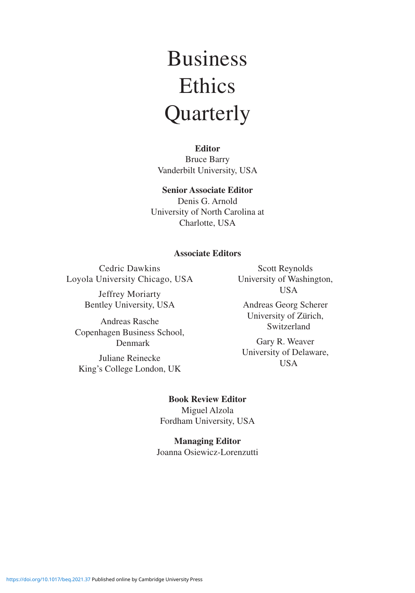# Business **Ethics** Quarterly

**Editor**

Bruce Barry Vanderbilt University, USA

#### **Senior Associate Editor**

Denis G. Arnold University of North Carolina at Charlotte, USA

#### **Associate Editors**

Cedric Dawkins Loyola University Chicago, USA

> Jeffrey Moriarty Bentley University, USA

Andreas Rasche Copenhagen Business School, Denmark Juliane Reinecke King's College London, UK

Scott Reynolds University of Washington, USA

Andreas Georg Scherer University of Zürich, Switzerland

Gary R. Weaver University of Delaware, USA

#### **Book Review Editor**

Miguel Alzola Fordham University, USA

**Managing Editor** Joanna Osiewicz-Lorenzutti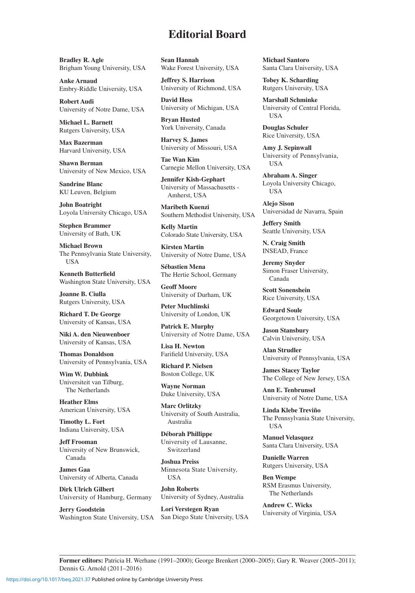## **Editorial Board**

**Bradley R. Agle** Brigham Young University, USA

**Anke Arnaud** Embry-Riddle University, USA

**Robert Audi** University of Notre Dame, USA

**Michael L. Barnett** Rutgers University, USA

**Max Bazerman** Harvard University, USA

**Shawn Berman** University of New Mexico, USA

**Sandrine Blanc** KU Leuven, Belgium

**John Boatright** Loyola University Chicago, USA

**Stephen Brammer** University of Bath, UK

**Michael Brown** The Pennsylvania State University, **USA** 

**Kenneth Butterfield** Washington State University, USA

**Joanne B. Ciulla** Rutgers University, USA

**Richard T. De George** University of Kansas, USA

**Niki A. den Nieuwenboer** University of Kansas, USA

**Thomas Donaldson** University of Pennsylvania, USA

**Wim W. Dubbink** Universiteit van Tilburg, The Netherlands

**Heather Elms** American University, USA

**Timothy L. Fort** Indiana University, USA

**Jeff Frooman** University of New Brunswick, Canada

**James Gaa** University of Alberta, Canada

**Dirk Ulrich Gilbert** University of Hamburg, Germany

**Jerry Goodstein** Washington State University, USA **Sean Hannah** Wake Forest University, USA

**Jeffrey S. Harrison** University of Richmond, USA

**David Hess** University of Michigan, USA

**Bryan Husted** York University, Canada

**Harvey S. James** University of Missouri, USA

**Tae Wan Kim** Carnegie Mellon University, USA

**Jennifer Kish-Gephart** University of Massachusetts - Amherst, USA

**Maribeth Kuenzi** Southern Methodist University, USA

**Kelly Martin** Colorado State University, USA

**Kirsten Martin** University of Notre Dame, USA

**Sébastien Mena** The Hertie School, Germany

**Geoff Moore** University of Durham, UK

**Peter Muchlinski** University of London, UK

**Patrick E. Murphy** University of Notre Dame, USA

**Lisa H. Newton** Farifield University, USA

**Richard P. Nielsen** Boston College, UK

**Wayne Norman** Duke University, USA

**Marc Orlitzky** University of South Australia, Australia

**Déborah Phillippe** University of Lausanne, Switzerland

**Joshua Preiss** Minnesota State University, USA

**John Roberts** University of Sydney, Australia

**Lori Verstegen Ryan** San Diego State University, USA

**Michael Santoro** Santa Clara University, USA

**Tobey K. Scharding** Rutgers University, USA

**Marshall Schminke** University of Central Florida, USA

**Douglas Schuler** Rice University, USA

**Amy J. Sepinwall** University of Pennsylvania, USA

**Abraham A. Singer** Loyola University Chicago, USA

**Alejo Sison** Universidad de Navarra, Spain

**Jeffery Smith** Seattle University, USA

**N. Craig Smith** INSEAD, France

**Jeremy Snyder** Simon Fraser University, Canada

**Scott Sonenshein** Rice University, USA

**Edward Soule** Georgetown University, USA

**Jason Stansbury** Calvin University, USA

**Alan Strudler** University of Pennsylvania, USA

**James Stacey Taylor** The College of New Jersey, USA

**Ann E. Tenbrunsel** University of Notre Dame, USA

**Linda Klebe Treviño** The Pennsylvania State University, USA

**Manuel Velasquez** Santa Clara University, USA

**Danielle Warren** Rutgers University, USA

**Ben Wempe** RSM Erasmus University, The Netherlands

**Andrew C. Wicks** University of Virginia, USA

**Former editors:** Patricia H. Werhane (1991–2000); George Brenkert (2000–2005); Gary R. Weaver (2005–2011); Dennis G. Arnold (2011–2016)